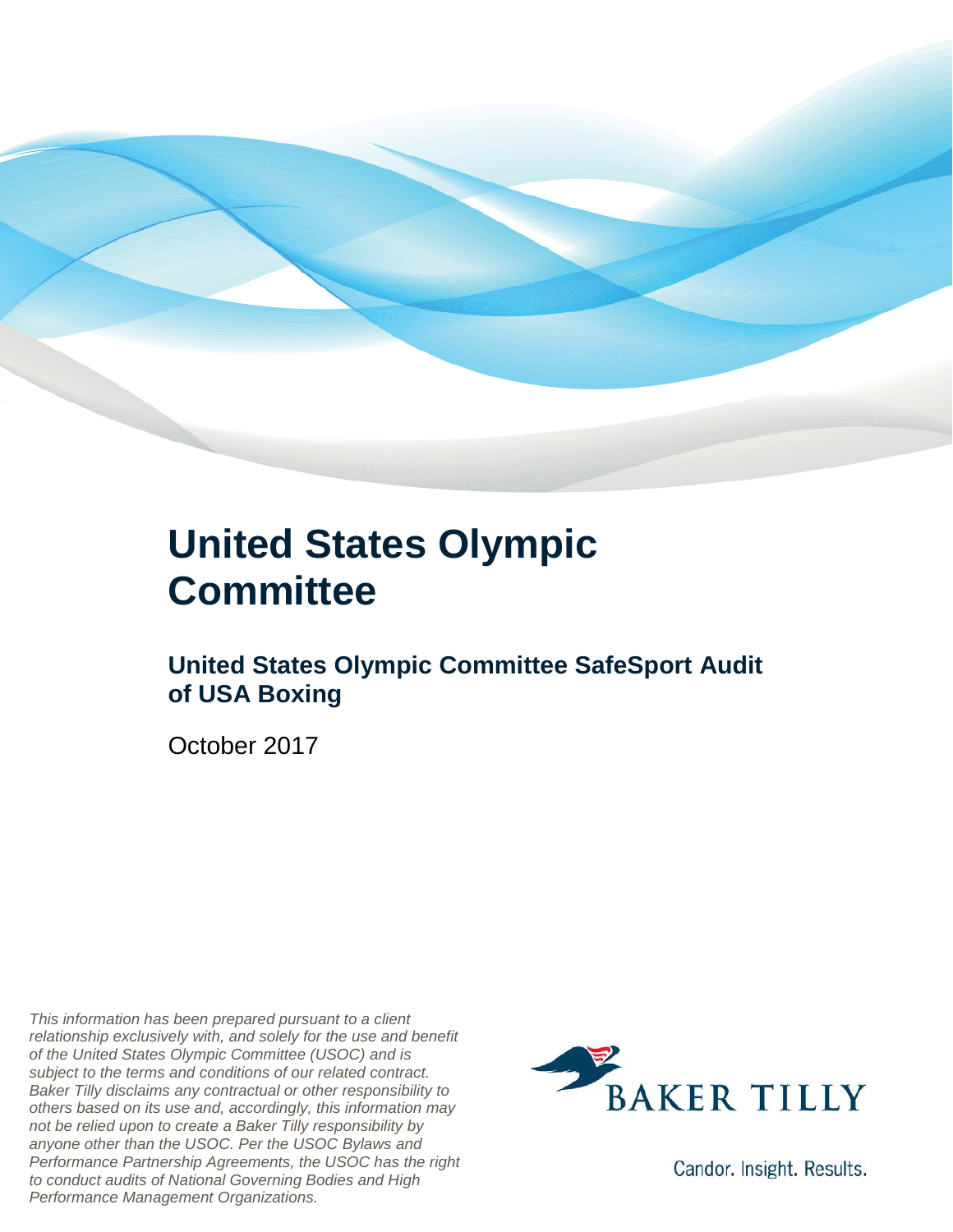

### **United States Olympic Committee**

#### **United States Olympic Committee SafeSport Audit of USA Boxing**

October 2017

*This information has been prepared pursuant to a client relationship exclusively with, and solely for the use and benefit of the United States Olympic Committee (USOC) and is subject to the terms and conditions of our related contract. Baker Tilly disclaims any contractual or other responsibility to others based on its use and, accordingly, this information may not be relied upon to create a Baker Tilly responsibility by anyone other than the USOC. Per the USOC Bylaws and Performance Partnership Agreements, the USOC has the right to conduct audits of National Governing Bodies and High Performance Management Organizations.*



Candor. Insight. Results.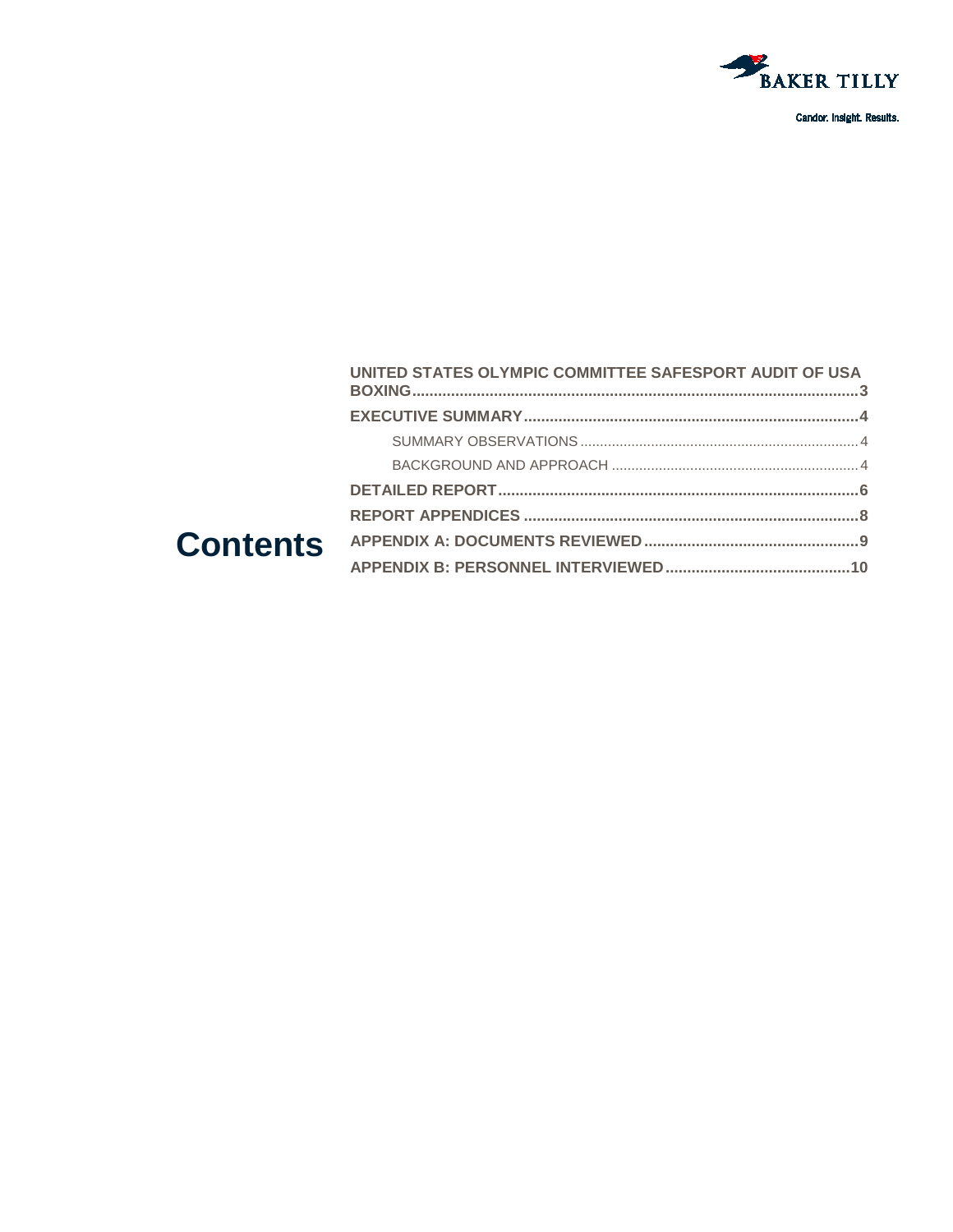

|  | UNITED STATES OLYMPIC COMMITTEE SAFESPORT AUDIT OF USA |  |
|--|--------------------------------------------------------|--|
|  |                                                        |  |
|  |                                                        |  |
|  |                                                        |  |
|  |                                                        |  |
|  |                                                        |  |
|  |                                                        |  |
|  |                                                        |  |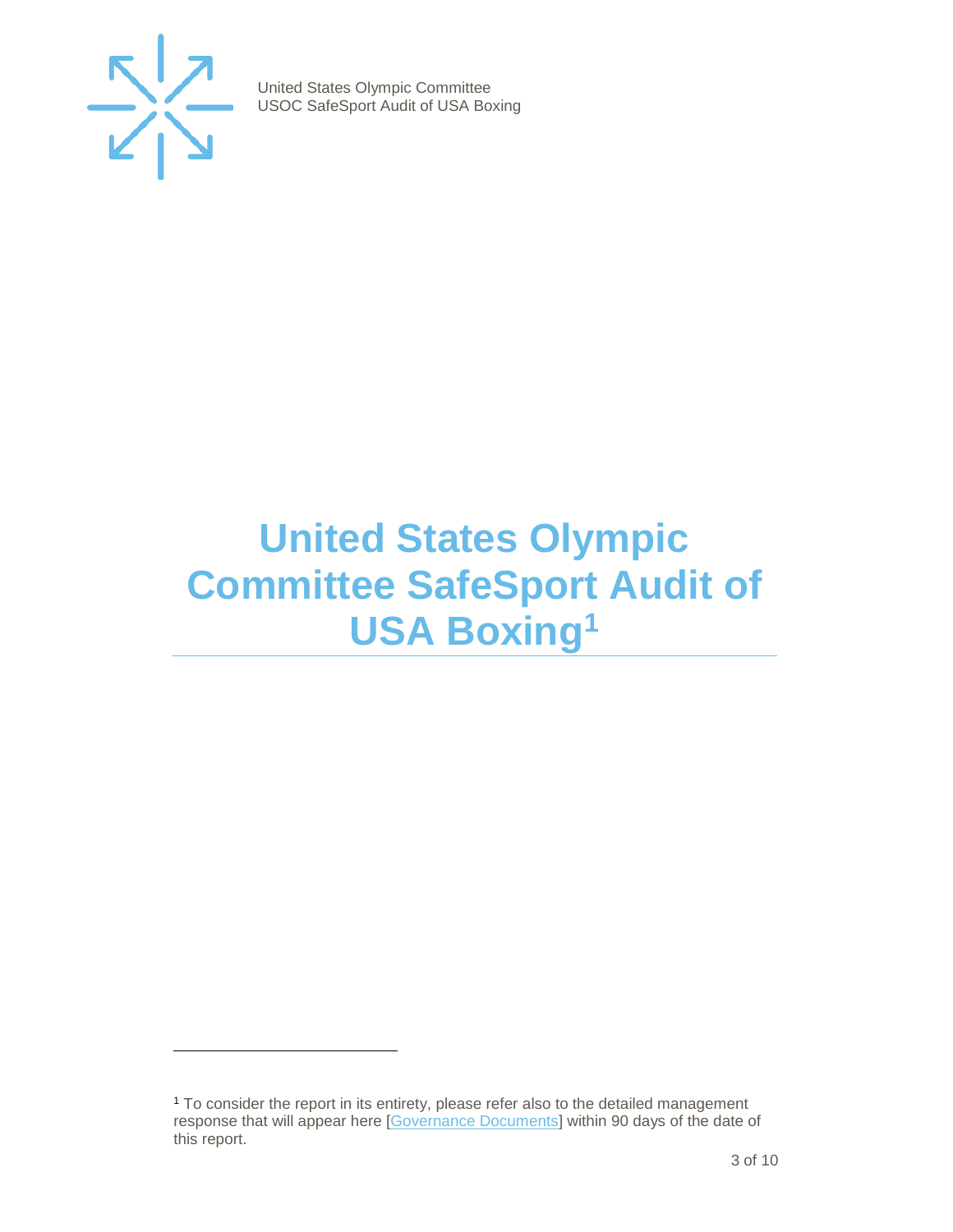

-

United States Olympic Committee USOC SafeSport Audit of USA Boxing

## <span id="page-2-0"></span>**United States Olympic Committee SafeSport Audit of USA Boxin[g1](#page-2-1)**

<span id="page-2-1"></span><sup>1</sup> To consider the report in its entirety, please refer also to the detailed management response that will appear here [\[Governance Documents\]](https://www.teamusa.org/Footer/Legal/Governance-Documents) within 90 days of the date of this report.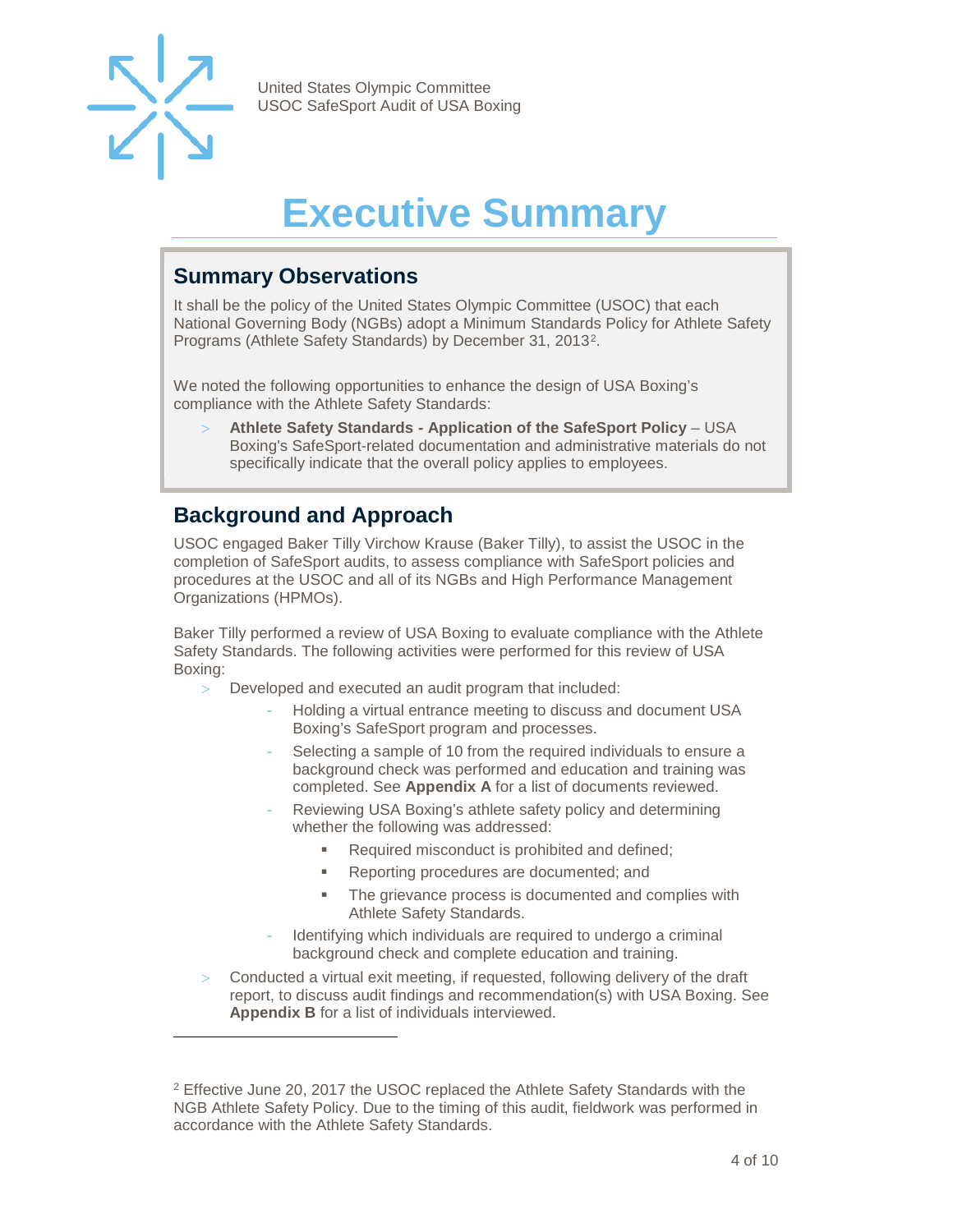

-

United States Olympic Committee USOC SafeSport Audit of USA Boxing

# **Executive Summary**

#### <span id="page-3-1"></span><span id="page-3-0"></span>**Summary Observations**

It shall be the policy of the United States Olympic Committee (USOC) that each National Governing Body (NGBs) adopt a Minimum Standards Policy for Athlete Safety Programs (Athlete Safety Standards) by December 31, 2013[2](#page-3-3).

We noted the following opportunities to enhance the design of USA Boxing's compliance with the Athlete Safety Standards:

> **Athlete Safety Standards - Application of the SafeSport Policy** – USA Boxing's SafeSport-related documentation and administrative materials do not specifically indicate that the overall policy applies to employees.

#### <span id="page-3-2"></span>**Background and Approach**

USOC engaged Baker Tilly Virchow Krause (Baker Tilly), to assist the USOC in the completion of SafeSport audits, to assess compliance with SafeSport policies and procedures at the USOC and all of its NGBs and High Performance Management Organizations (HPMOs).

Baker Tilly performed a review of USA Boxing to evaluate compliance with the Athlete Safety Standards. The following activities were performed for this review of USA Boxing:

- Developed and executed an audit program that included:
	- Holding a virtual entrance meeting to discuss and document USA Boxing's SafeSport program and processes.
	- Selecting a sample of 10 from the required individuals to ensure a background check was performed and education and training was completed. See **Appendix A** for a list of documents reviewed.
	- Reviewing USA Boxing's athlete safety policy and determining whether the following was addressed:
		- Required misconduct is prohibited and defined:
		- **Reporting procedures are documented; and**
		- The grievance process is documented and complies with Athlete Safety Standards.
	- Identifying which individuals are required to undergo a criminal background check and complete education and training.
- Conducted a virtual exit meeting, if requested, following delivery of the draft report, to discuss audit findings and recommendation(s) with USA Boxing. See **Appendix B** for a list of individuals interviewed.

<span id="page-3-3"></span><sup>&</sup>lt;sup>2</sup> Effective June 20, 2017 the USOC replaced the Athlete Safety Standards with the NGB Athlete Safety Policy. Due to the timing of this audit, fieldwork was performed in accordance with the Athlete Safety Standards.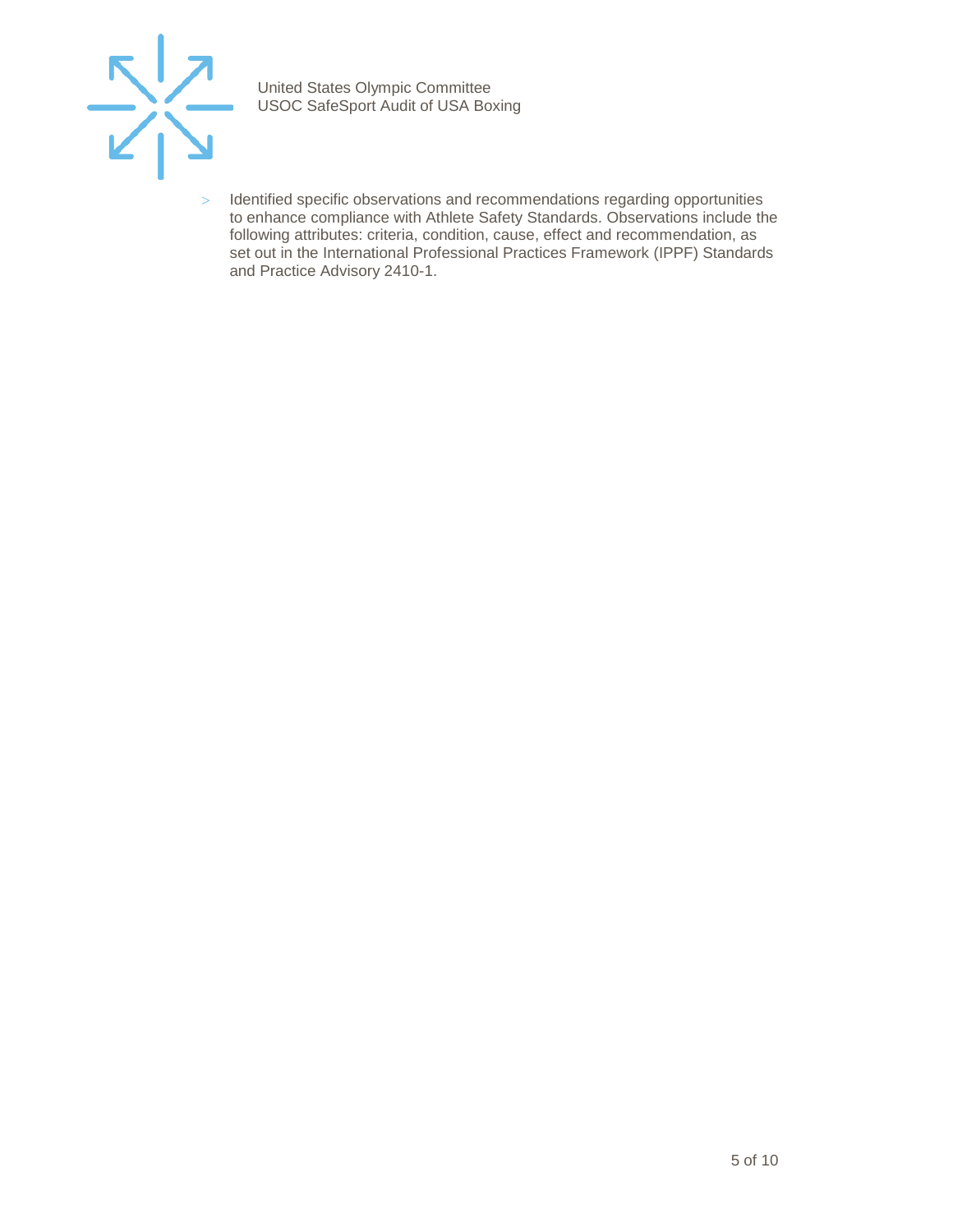

> Identified specific observations and recommendations regarding opportunities to enhance compliance with Athlete Safety Standards. Observations include the following attributes: criteria, condition, cause, effect and recommendation, as set out in the International Professional Practices Framework (IPPF) Standards and Practice Advisory 2410-1.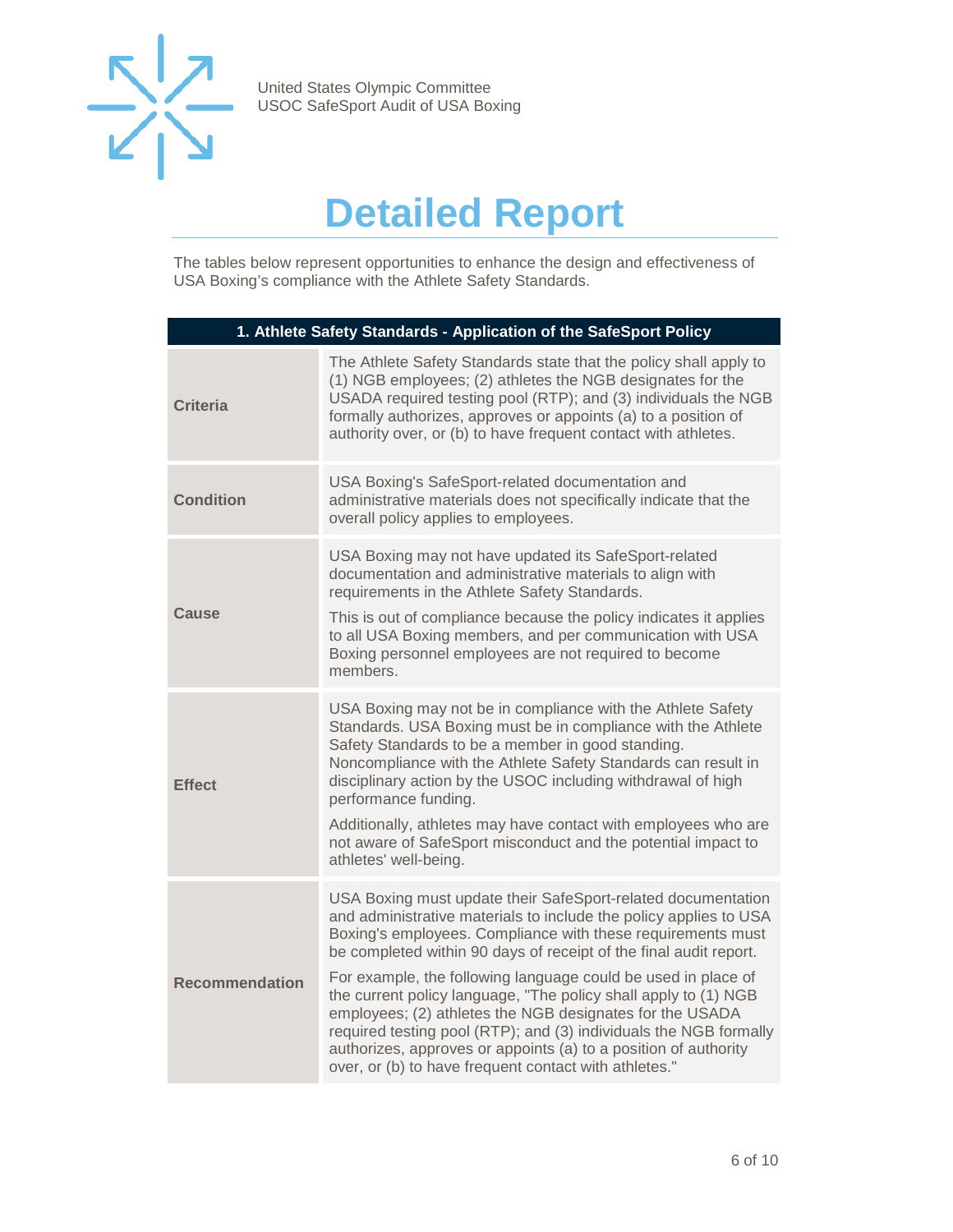

## **Detailed Report**

<span id="page-5-0"></span>The tables below represent opportunities to enhance the design and effectiveness of USA Boxing's compliance with the Athlete Safety Standards.

| 1. Athlete Safety Standards - Application of the SafeSport Policy |                                                                                                                                                                                                                                                                                                                                                                                                                                                                                                                                                                                                                                                                        |  |
|-------------------------------------------------------------------|------------------------------------------------------------------------------------------------------------------------------------------------------------------------------------------------------------------------------------------------------------------------------------------------------------------------------------------------------------------------------------------------------------------------------------------------------------------------------------------------------------------------------------------------------------------------------------------------------------------------------------------------------------------------|--|
| <b>Criteria</b>                                                   | The Athlete Safety Standards state that the policy shall apply to<br>(1) NGB employees; (2) athletes the NGB designates for the<br>USADA required testing pool (RTP); and (3) individuals the NGB<br>formally authorizes, approves or appoints (a) to a position of<br>authority over, or (b) to have frequent contact with athletes.                                                                                                                                                                                                                                                                                                                                  |  |
| <b>Condition</b>                                                  | USA Boxing's SafeSport-related documentation and<br>administrative materials does not specifically indicate that the<br>overall policy applies to employees.                                                                                                                                                                                                                                                                                                                                                                                                                                                                                                           |  |
| Cause                                                             | USA Boxing may not have updated its SafeSport-related<br>documentation and administrative materials to align with<br>requirements in the Athlete Safety Standards.<br>This is out of compliance because the policy indicates it applies<br>to all USA Boxing members, and per communication with USA<br>Boxing personnel employees are not required to become<br>members.                                                                                                                                                                                                                                                                                              |  |
| <b>Effect</b>                                                     | USA Boxing may not be in compliance with the Athlete Safety<br>Standards. USA Boxing must be in compliance with the Athlete<br>Safety Standards to be a member in good standing.<br>Noncompliance with the Athlete Safety Standards can result in<br>disciplinary action by the USOC including withdrawal of high<br>performance funding.<br>Additionally, athletes may have contact with employees who are<br>not aware of SafeSport misconduct and the potential impact to<br>athletes' well-being.                                                                                                                                                                  |  |
| <b>Recommendation</b>                                             | USA Boxing must update their SafeSport-related documentation<br>and administrative materials to include the policy applies to USA<br>Boxing's employees. Compliance with these requirements must<br>be completed within 90 days of receipt of the final audit report.<br>For example, the following language could be used in place of<br>the current policy language, "The policy shall apply to (1) NGB<br>employees; (2) athletes the NGB designates for the USADA<br>required testing pool (RTP); and (3) individuals the NGB formally<br>authorizes, approves or appoints (a) to a position of authority<br>over, or (b) to have frequent contact with athletes." |  |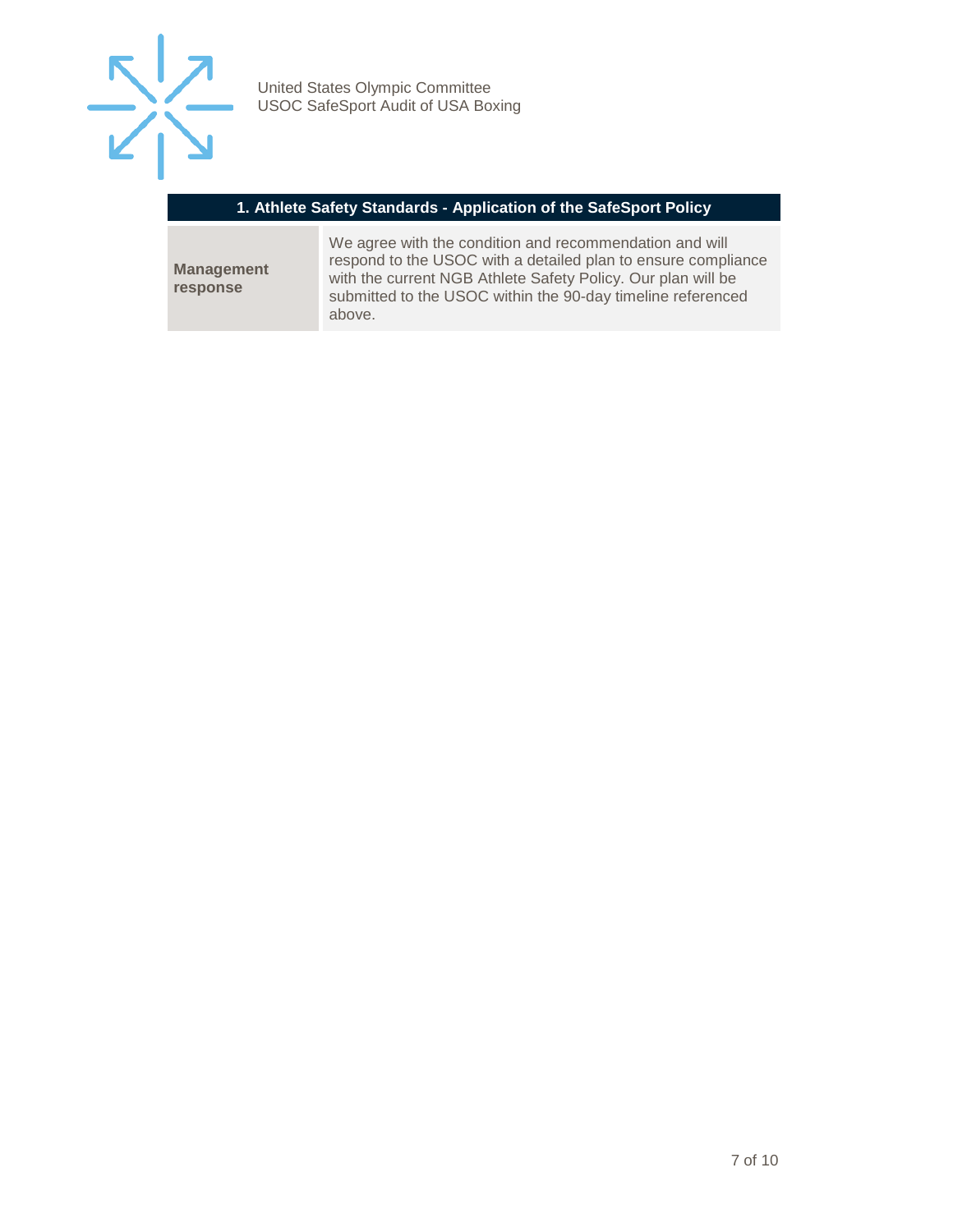

#### **1. Athlete Safety Standards - Application of the SafeSport Policy**

**Management response**

We agree with the condition and recommendation and will respond to the USOC with a detailed plan to ensure compliance with the current NGB Athlete Safety Policy. Our plan will be submitted to the USOC within the 90-day timeline referenced above.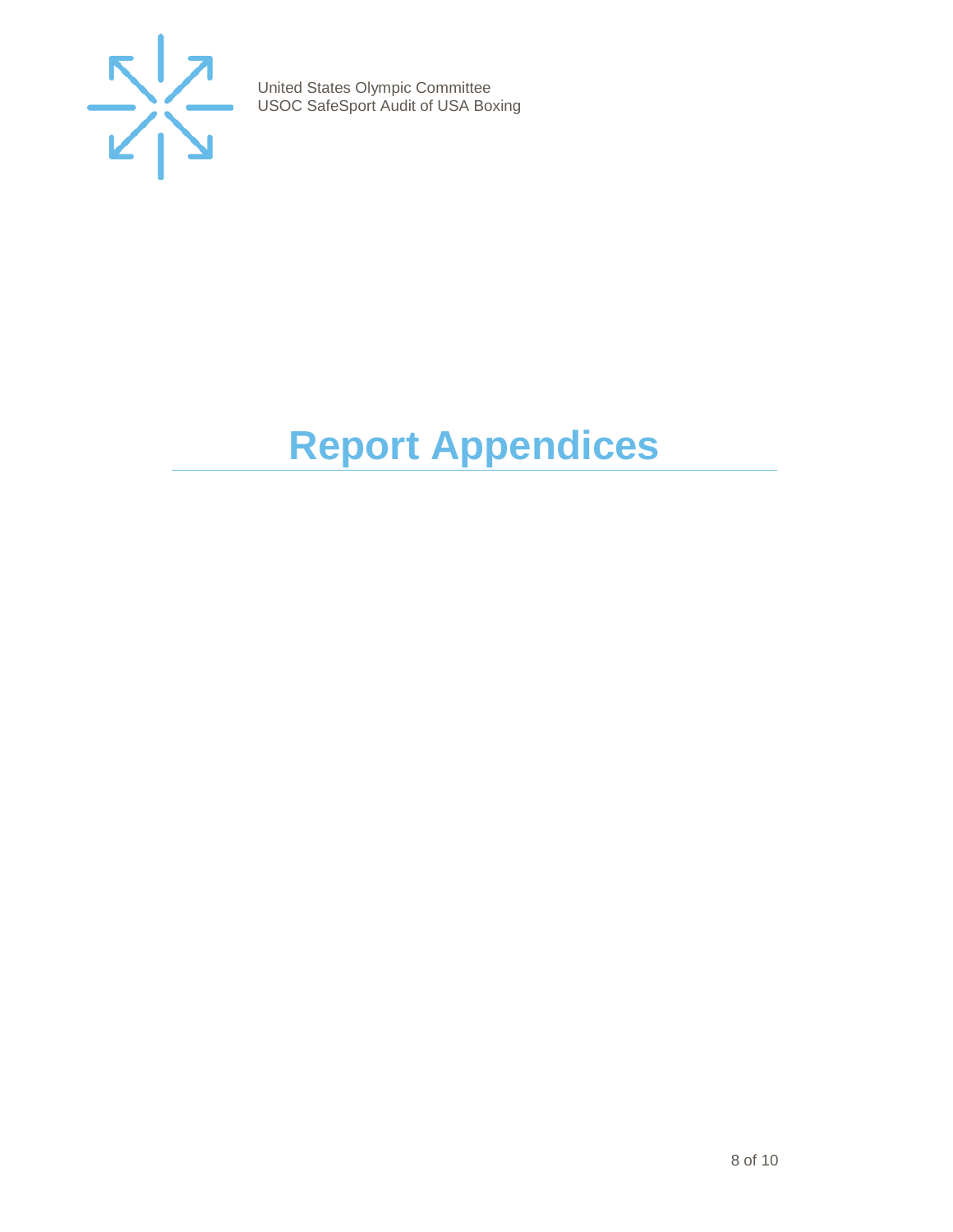

# <span id="page-7-0"></span>**Report Appendices**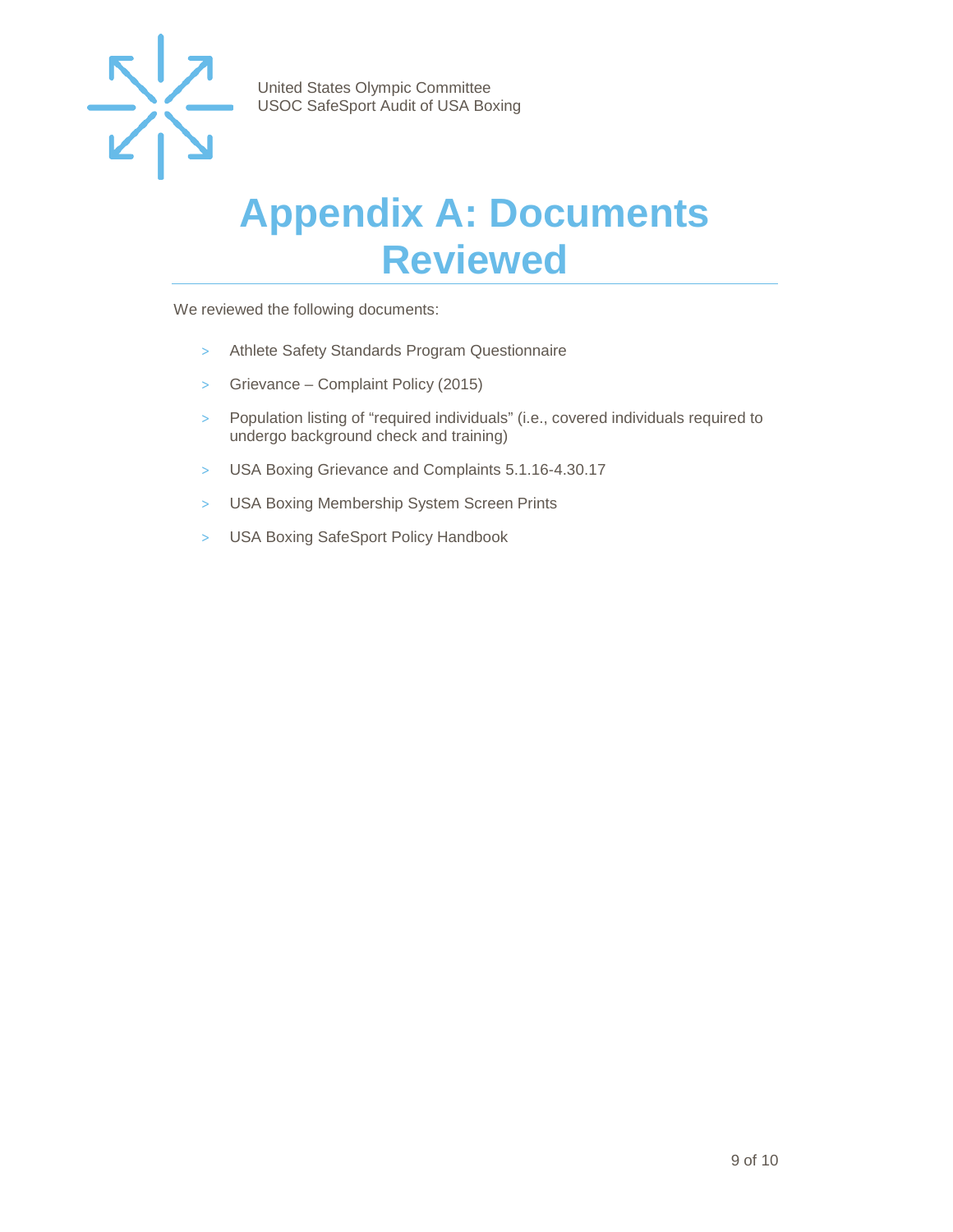

### <span id="page-8-0"></span>**Appendix A: Documents Reviewed**

We reviewed the following documents:

- > Athlete Safety Standards Program Questionnaire
- > Grievance Complaint Policy (2015)
- > Population listing of "required individuals" (i.e., covered individuals required to undergo background check and training)
- > USA Boxing Grievance and Complaints 5.1.16-4.30.17
- > USA Boxing Membership System Screen Prints
- > USA Boxing SafeSport Policy Handbook